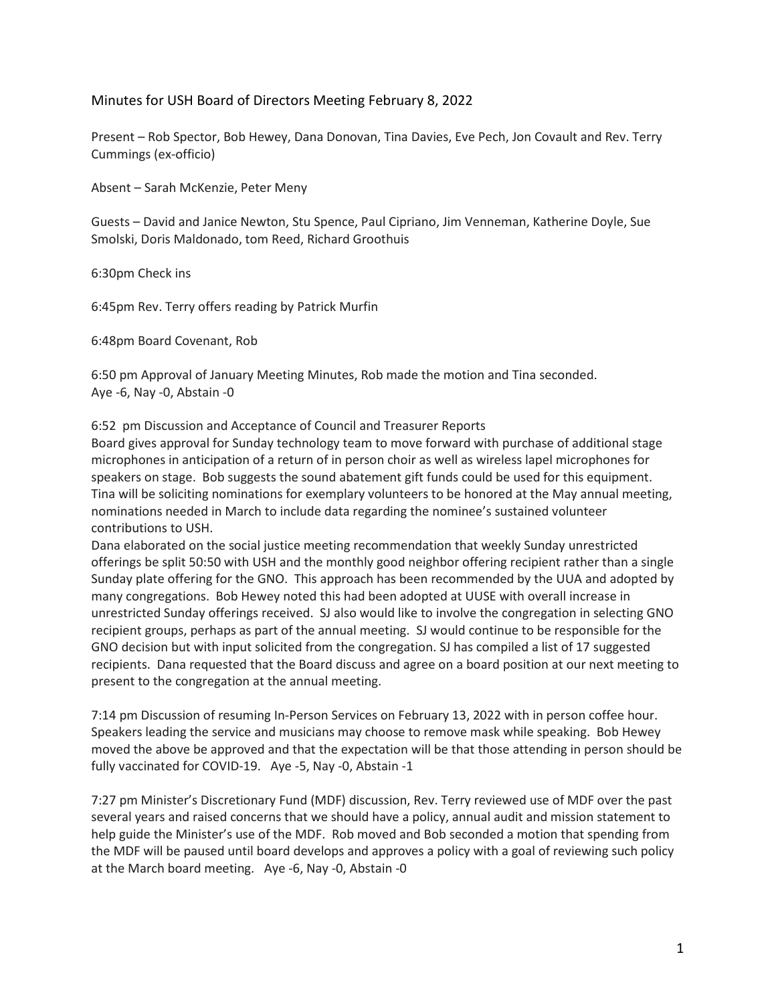## Minutes for USH Board of Directors Meeting February 8, 2022

Present – Rob Spector, Bob Hewey, Dana Donovan, Tina Davies, Eve Pech, Jon Covault and Rev. Terry Cummings (ex-officio)

Absent – Sarah McKenzie, Peter Meny

Guests – David and Janice Newton, Stu Spence, Paul Cipriano, Jim Venneman, Katherine Doyle, Sue Smolski, Doris Maldonado, tom Reed, Richard Groothuis

6:30pm Check ins

6:45pm Rev. Terry offers reading by Patrick Murfin

6:48pm Board Covenant, Rob

6:50 pm Approval of January Meeting Minutes, Rob made the motion and Tina seconded. Aye -6, Nay -0, Abstain -0

6:52 pm Discussion and Acceptance of Council and Treasurer Reports

Board gives approval for Sunday technology team to move forward with purchase of additional stage microphones in anticipation of a return of in person choir as well as wireless lapel microphones for speakers on stage. Bob suggests the sound abatement gift funds could be used for this equipment. Tina will be soliciting nominations for exemplary volunteers to be honored at the May annual meeting, nominations needed in March to include data regarding the nominee's sustained volunteer contributions to USH.

Dana elaborated on the social justice meeting recommendation that weekly Sunday unrestricted offerings be split 50:50 with USH and the monthly good neighbor offering recipient rather than a single Sunday plate offering for the GNO. This approach has been recommended by the UUA and adopted by many congregations. Bob Hewey noted this had been adopted at UUSE with overall increase in unrestricted Sunday offerings received. SJ also would like to involve the congregation in selecting GNO recipient groups, perhaps as part of the annual meeting. SJ would continue to be responsible for the GNO decision but with input solicited from the congregation. SJ has compiled a list of 17 suggested recipients. Dana requested that the Board discuss and agree on a board position at our next meeting to present to the congregation at the annual meeting.

7:14 pm Discussion of resuming In-Person Services on February 13, 2022 with in person coffee hour. Speakers leading the service and musicians may choose to remove mask while speaking. Bob Hewey moved the above be approved and that the expectation will be that those attending in person should be fully vaccinated for COVID-19. Aye -5, Nay -0, Abstain -1

7:27 pm Minister's Discretionary Fund (MDF) discussion, Rev. Terry reviewed use of MDF over the past several years and raised concerns that we should have a policy, annual audit and mission statement to help guide the Minister's use of the MDF. Rob moved and Bob seconded a motion that spending from the MDF will be paused until board develops and approves a policy with a goal of reviewing such policy at the March board meeting. Aye -6, Nay -0, Abstain -0